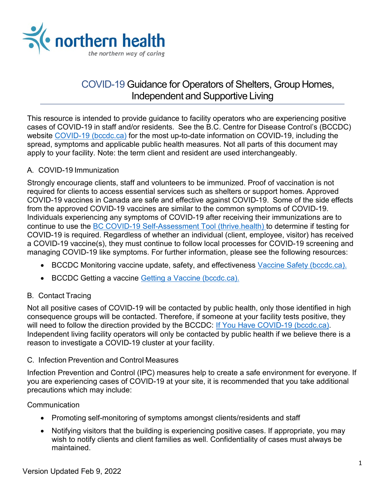

# COVID-19 Guidance for Operators of Shelters, Group Homes, Independent and Supportive Living

This resource is intended to provide guidance to facility operators who are experiencing positive cases of COVID-19 in staff and/or residents. See the B.C. Centre for Disease Control's (BCCDC) website [COVID-19 \(bccdc.ca\)](http://www.bccdc.ca/health-info/diseases-conditions/covid-19) for the most up-to-date information on COVID-19, including the spread, symptoms and applicable public health measures. Not all parts of this document may apply to your facility. Note: the term client and resident are used interchangeably.

### A. COVID-19 Immunization

Strongly encourage clients, staff and volunteers to be immunized. Proof of vaccination is not required for clients to access essential services such as shelters or support homes. Approved COVID-19 vaccines in Canada are safe and effective against COVID-19. Some of the side effects from the approved COVID-19 vaccines are similar to the common symptoms of COVID-19. Individuals experiencing any symptoms of COVID-19 after receiving their immunizations are to continue to use the **BC COVID-19 Self-Assessment Tool (thrive.health)** to determine if testing for COVID-19 is required. Regardless of whether an individual (client, employee, visitor) has received a COVID-19 vaccine(s), they must continue to follow local processes for COVID-19 screening and managing COVID-19 like symptoms. For further information, please see the following resources:

- BCCDC Monitoring vaccine update, safety, and effectiveness Vaccine Safety [\(bccdc.ca\).](http://www.bccdc.ca/health-info/diseases-conditions/covid-19/covid-19-vaccine/vaccine-safety)
- BCCDC Getting a vaccine Getting a Vaccine [\(bccdc.ca\).](http://www.bccdc.ca/health-info/diseases-conditions/covid-19/covid-19-vaccine/getting-a-vaccine)

## B. Contact Tracing

Not all positive cases of COVID-19 will be contacted by public health, only those identified in high consequence groups will be contacted. Therefore, if someone at your facility tests positive, they will need to follow the direction provided by the BCCDC: If You Have COVID-19 [\(bccdc.ca\).](http://www.bccdc.ca/health-info/diseases-conditions/covid-19/if-you-have-covid-19) Independent living facility operators will only be contacted by public health if we believe there is a reason to investigate a COVID-19 cluster at your facility.

#### C. Infection Prevention and Control Measures

Infection Prevention and Control (IPC) measures help to create a safe environment for everyone. If you are experiencing cases of COVID-19 at your site, it is recommended that you take additional precautions which may include:

#### **Communication**

- Promoting self-monitoring of symptoms amongst clients/residents and staff
- Notifying visitors that the building is experiencing positive cases. If appropriate, you may wish to notify clients and client families as well. Confidentiality of cases must always be maintained.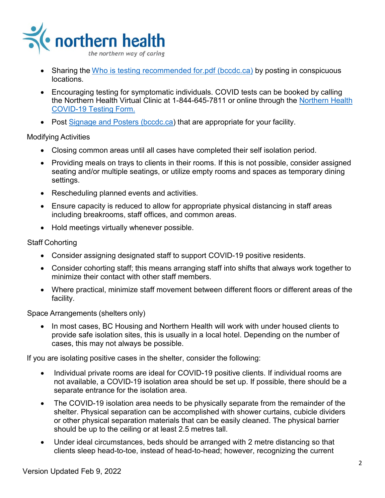

- Sharing the [Who is testing recommended](http://www.bccdc.ca/Health-Info-Site/Documents/COVID_public_guidance/When_to_get_tested.pdf) for pdf (bccdc.ca) by posting in conspicuous locations.
- Encouraging testing for symptomatic individuals. COVID tests can be booked by calling the Northern Health Virtual Clinic at 1-844-645-7811 or online through the [Northern Health](https://northernhealthcovid.secureform.ca/index.php)  [COVID-19 Testing Form.](https://northernhealthcovid.secureform.ca/index.php)
- Post Signage and Posters [\(bccdc.ca\)](http://www.bccdc.ca/health-professionals/clinical-resources/covid-19-care/signage-posters) that are appropriate for your facility.

Modifying Activities

- Closing common areas until all cases have completed their self isolation period.
- Providing meals on trays to clients in their rooms. If this is not possible, consider assigned seating and/or multiple seatings, or utilize empty rooms and spaces as temporary dining settings.
- Rescheduling planned events and activities.
- Ensure capacity is reduced to allow for appropriate physical distancing in staff areas including breakrooms, staff offices, and common areas.
- Hold meetings virtually whenever possible.

### Staff Cohorting

- Consider assigning designated staff to support COVID-19 positive residents.
- Consider cohorting staff; this means arranging staff into shifts that always work together to minimize their contact with other staff members.
- Where practical, minimize staff movement between different floors or different areas of the facility.

Space Arrangements (shelters only)

• In most cases, BC Housing and Northern Health will work with under housed clients to provide safe isolation sites, this is usually in a local hotel. Depending on the number of cases, this may not always be possible.

If you are isolating positive cases in the shelter, consider the following:

- Individual private rooms are ideal for COVID-19 positive clients. If individual rooms are not available, a COVID-19 isolation area should be set up. If possible, there should be a separate entrance for the isolation area.
- The COVID-19 isolation area needs to be physically separate from the remainder of the shelter. Physical separation can be accomplished with shower curtains, cubicle dividers or other physical separation materials that can be easily cleaned. The physical barrier should be up to the ceiling or at least 2.5 metres tall.
- Under ideal circumstances, beds should be arranged with 2 metre distancing so that clients sleep head-to-toe, instead of head-to-head; however, recognizing the current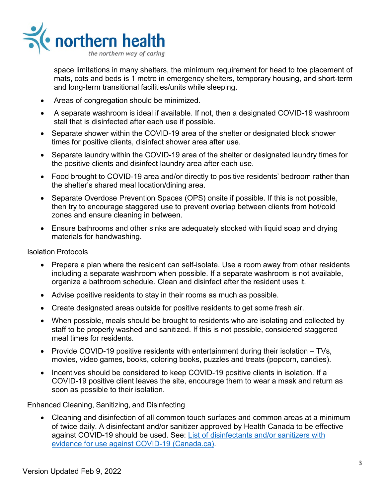

space limitations in many shelters, the minimum requirement for head to toe placement of mats, cots and beds is 1 metre in emergency shelters, temporary housing, and short-term and long-term transitional facilities/units while sleeping.

- Areas of congregation should be minimized.
- A separate washroom is ideal if available. If not, then a designated COVID-19 washroom stall that is disinfected after each use if possible.
- Separate shower within the COVID-19 area of the shelter or designated block shower times for positive clients, disinfect shower area after use.
- Separate laundry within the COVID-19 area of the shelter or designated laundry times for the positive clients and disinfect laundry area after each use.
- Food brought to COVID-19 area and/or directly to positive residents' bedroom rather than the shelter's shared meal location/dining area.
- Separate Overdose Prevention Spaces (OPS) onsite if possible. If this is not possible, then try to encourage staggered use to prevent overlap between clients from hot/cold zones and ensure cleaning in between.
- Ensure bathrooms and other sinks are adequately stocked with liquid soap and drying materials for handwashing.

Isolation Protocols

- Prepare a plan where the resident can self-isolate. Use a room away from other residents including a separate washroom when possible. If a separate washroom is not available, organize a bathroom schedule. Clean and disinfect after the resident uses it.
- Advise positive residents to stay in their rooms as much as possible.
- Create designated areas outside for positive residents to get some fresh air.
- When possible, meals should be brought to residents who are isolating and collected by staff to be properly washed and sanitized. If this is not possible, considered staggered meal times for residents.
- Provide COVID-19 positive residents with entertainment during their isolation TVs, movies, video games, books, coloring books, puzzles and treats (popcorn, candies).
- Incentives should be considered to keep COVID-19 positive clients in isolation. If a COVID-19 positive client leaves the site, encourage them to wear a mask and return as soon as possible to their isolation.

Enhanced Cleaning, Sanitizing, and Disinfecting

• Cleaning and disinfection of all common touch surfaces and common areas at a minimum of twice daily. A disinfectant and/or sanitizer approved by Health Canada to be effective against COVID-19 should be used. See: [List of disinfectants and/or sanitizers with](https://www.canada.ca/en/health-canada/services/drugs-health-products/disinfectants/covid-19/list.html)  [evidence for use against COVID-19 \(Canada.ca\).](https://www.canada.ca/en/health-canada/services/drugs-health-products/disinfectants/covid-19/list.html)